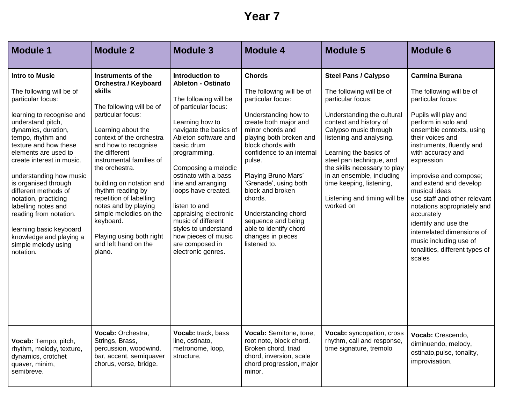## **Year 7**

| <b>Module 1</b>                                                                                                                                                                                                                                                                                                                                                                                                                                                                                  | <b>Module 2</b>                                                                                                                                                                                                                                                                                                                                                                                                                                                | <b>Module 3</b>                                                                                                                                                                                                                                                                                                                                                                                                                                      | <b>Module 4</b>                                                                                                                                                                                                                                                                                                                                                                                                       | <b>Module 5</b>                                                                                                                                                                                                                                                                                                                                                                       | <b>Module 6</b>                                                                                                                                                                                                                                                                                                                                                                                                                                                                                                     |
|--------------------------------------------------------------------------------------------------------------------------------------------------------------------------------------------------------------------------------------------------------------------------------------------------------------------------------------------------------------------------------------------------------------------------------------------------------------------------------------------------|----------------------------------------------------------------------------------------------------------------------------------------------------------------------------------------------------------------------------------------------------------------------------------------------------------------------------------------------------------------------------------------------------------------------------------------------------------------|------------------------------------------------------------------------------------------------------------------------------------------------------------------------------------------------------------------------------------------------------------------------------------------------------------------------------------------------------------------------------------------------------------------------------------------------------|-----------------------------------------------------------------------------------------------------------------------------------------------------------------------------------------------------------------------------------------------------------------------------------------------------------------------------------------------------------------------------------------------------------------------|---------------------------------------------------------------------------------------------------------------------------------------------------------------------------------------------------------------------------------------------------------------------------------------------------------------------------------------------------------------------------------------|---------------------------------------------------------------------------------------------------------------------------------------------------------------------------------------------------------------------------------------------------------------------------------------------------------------------------------------------------------------------------------------------------------------------------------------------------------------------------------------------------------------------|
| <b>Intro to Music</b><br>The following will be of<br>particular focus:<br>learning to recognise and<br>understand pitch,<br>dynamics, duration,<br>tempo, rhythm and<br>texture and how these<br>elements are used to<br>create interest in music.<br>understanding how music<br>is organised through<br>different methods of<br>notation, practicing<br>labelling notes and<br>reading from notation.<br>learning basic keyboard<br>knowledge and playing a<br>simple melody using<br>notation. | Instruments of the<br><b>Orchestra / Keyboard</b><br>skills<br>The following will be of<br>particular focus:<br>Learning about the<br>context of the orchestra<br>and how to recognise<br>the different<br>instrumental families of<br>the orchestra.<br>building on notation and<br>rhythm reading by<br>repetition of labelling<br>notes and by playing<br>simple melodies on the<br>keyboard.<br>Playing using both right<br>and left hand on the<br>piano. | Introduction to<br><b>Ableton - Ostinato</b><br>The following will be<br>of particular focus:<br>Learning how to<br>navigate the basics of<br>Ableton software and<br>basic drum<br>programming.<br>Composing a melodic<br>ostinato with a bass<br>line and arranging<br>loops have created.<br>listen to and<br>appraising electronic<br>music of different<br>styles to understand<br>how pieces of music<br>are composed in<br>electronic genres. | <b>Chords</b><br>The following will be of<br>particular focus:<br>Understanding how to<br>create both major and<br>minor chords and<br>playing both broken and<br>block chords with<br>confidence to an internal<br>pulse.<br>Playing Bruno Mars'<br>'Grenade', using both<br>block and broken<br>chords.<br>Understanding chord<br>sequence and being<br>able to identify chord<br>changes in pieces<br>listened to. | <b>Steel Pans / Calypso</b><br>The following will be of<br>particular focus:<br>Understanding the cultural<br>context and history of<br>Calypso music through<br>listening and analysing.<br>Learning the basics of<br>steel pan technique, and<br>the skills necessary to play<br>in an ensemble, including<br>time keeping, listening,<br>Listening and timing will be<br>worked on | <b>Carmina Burana</b><br>The following will be of<br>particular focus:<br>Pupils will play and<br>perform in solo and<br>ensemble contexts, using<br>their voices and<br>instruments, fluently and<br>with accuracy and<br>expression<br>improvise and compose;<br>and extend and develop<br>musical ideas<br>use staff and other relevant<br>notations appropriately and<br>accurately<br>identify and use the<br>interrelated dimensions of<br>music including use of<br>tonalities, different types of<br>scales |
| Vocab: Tempo, pitch,<br>rhythm, melody, texture,<br>dynamics, crotchet<br>quaver, minim,<br>semibreve.                                                                                                                                                                                                                                                                                                                                                                                           | Vocab: Orchestra,<br>Strings, Brass,<br>percussion, woodwind,<br>bar, accent, semiquaver<br>chorus, verse, bridge.                                                                                                                                                                                                                                                                                                                                             | Vocab: track, bass<br>line, ostinato,<br>metronome, loop,<br>structure,                                                                                                                                                                                                                                                                                                                                                                              | Vocab: Semitone, tone,<br>root note, block chord.<br>Broken chord, triad<br>chord, inversion, scale<br>chord progression, major<br>minor.                                                                                                                                                                                                                                                                             | Vocab: syncopation, cross<br>rhythm, call and response,<br>time signature, tremolo                                                                                                                                                                                                                                                                                                    | Vocab: Crescendo,<br>diminuendo, melody,<br>ostinato, pulse, tonality,<br>improvisation.                                                                                                                                                                                                                                                                                                                                                                                                                            |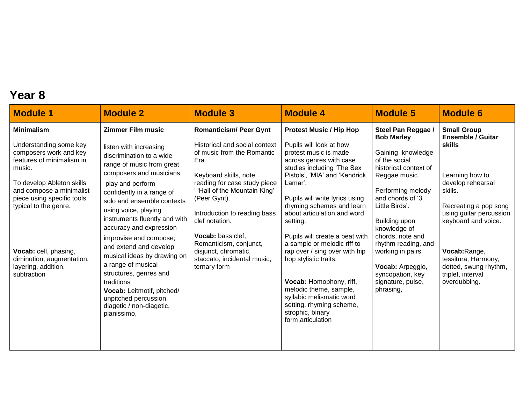## **Year 8**